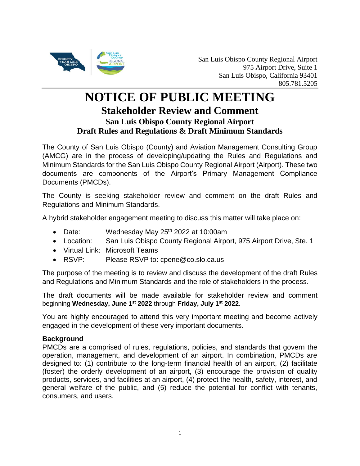

## **NOTICE OF PUBLIC MEETING Stakeholder Review and Comment San Luis Obispo County Regional Airport Draft Rules and Regulations & Draft Minimum Standards**

The County of San Luis Obispo (County) and Aviation Management Consulting Group (AMCG) are in the process of developing/updating the Rules and Regulations and Minimum Standards for the San Luis Obispo County Regional Airport (Airport). These two documents are components of the Airport's Primary Management Compliance Documents (PMCDs).

The County is seeking stakeholder review and comment on the draft Rules and Regulations and Minimum Standards.

A hybrid stakeholder engagement meeting to discuss this matter will take place on:

- Date: Wednesday May  $25<sup>th</sup>$  2022 at 10:00am
- Location: San Luis Obispo County Regional Airport, 975 Airport Drive, Ste. 1
- Virtual Link: Microsoft Teams
- RSVP: Please RSVP to: cpene@co.slo.ca.us

The purpose of the meeting is to review and discuss the development of the draft Rules and Regulations and Minimum Standards and the role of stakeholders in the process.

The draft documents will be made available for stakeholder review and comment beginning **Wednesday, June 1st 2022** through **Friday, July 1st 2022**.

You are highly encouraged to attend this very important meeting and become actively engaged in the development of these very important documents.

## **Background**

PMCDs are a comprised of rules, regulations, policies, and standards that govern the operation, management, and development of an airport. In combination, PMCDs are designed to: (1) contribute to the long-term financial health of an airport, (2) facilitate (foster) the orderly development of an airport, (3) encourage the provision of quality products, services, and facilities at an airport, (4) protect the health, safety, interest, and general welfare of the public, and (5) reduce the potential for conflict with tenants, consumers, and users.